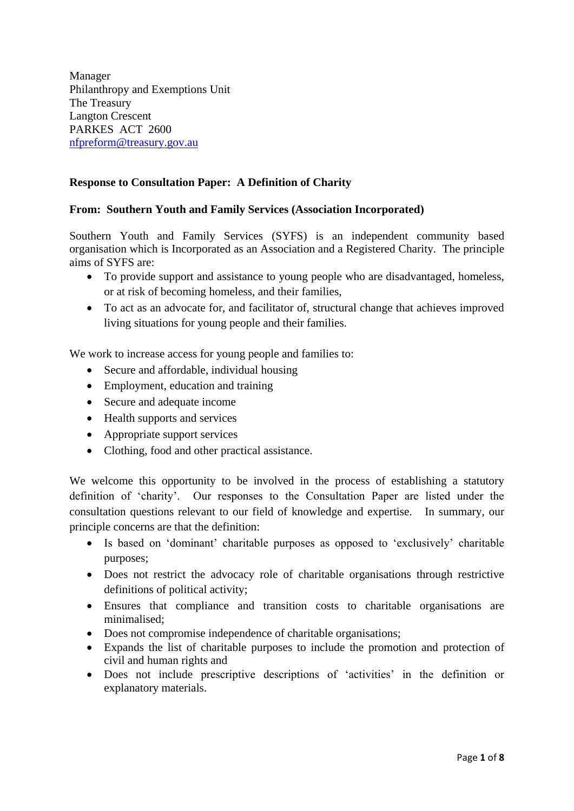Manager Philanthropy and Exemptions Unit The Treasury Langton Crescent PARKES ACT 2600 [nfpreform@treasury.gov.au](mailto:nfpreform@treasury.gov.au)

# **Response to Consultation Paper: A Definition of Charity**

## **From: Southern Youth and Family Services (Association Incorporated)**

Southern Youth and Family Services (SYFS) is an independent community based organisation which is Incorporated as an Association and a Registered Charity. The principle aims of SYFS are:

- To provide support and assistance to young people who are disadvantaged, homeless, or at risk of becoming homeless, and their families,
- To act as an advocate for, and facilitator of, structural change that achieves improved living situations for young people and their families.

We work to increase access for young people and families to:

- Secure and affordable, individual housing
- Employment, education and training
- Secure and adequate income
- Health supports and services
- Appropriate support services
- Clothing, food and other practical assistance.

We welcome this opportunity to be involved in the process of establishing a statutory definition of 'charity'. Our responses to the Consultation Paper are listed under the consultation questions relevant to our field of knowledge and expertise. In summary, our principle concerns are that the definition:

- Is based on 'dominant' charitable purposes as opposed to 'exclusively' charitable purposes;
- Does not restrict the advocacy role of charitable organisations through restrictive definitions of political activity;
- Ensures that compliance and transition costs to charitable organisations are minimalised;
- Does not compromise independence of charitable organisations;
- Expands the list of charitable purposes to include the promotion and protection of civil and human rights and
- Does not include prescriptive descriptions of 'activities' in the definition or explanatory materials.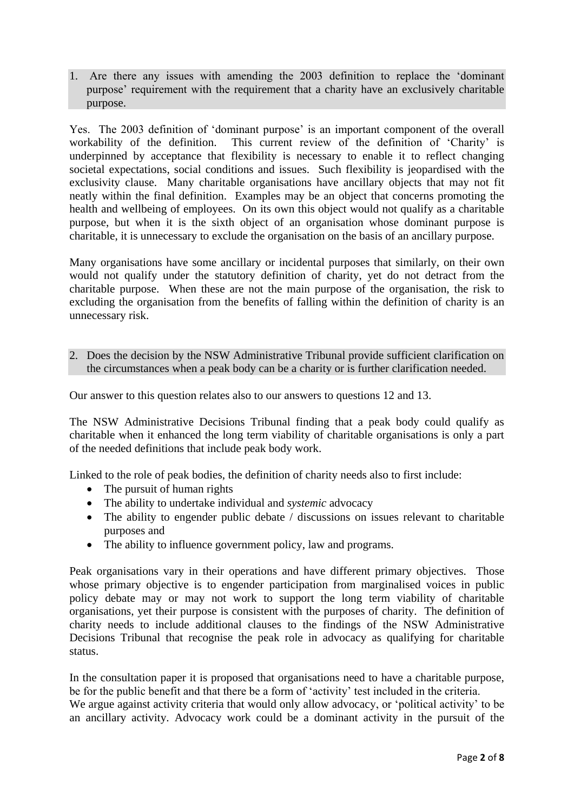1. Are there any issues with amending the 2003 definition to replace the 'dominant purpose' requirement with the requirement that a charity have an exclusively charitable purpose.

Yes. The 2003 definition of 'dominant purpose' is an important component of the overall workability of the definition. This current review of the definition of 'Charity' is underpinned by acceptance that flexibility is necessary to enable it to reflect changing societal expectations, social conditions and issues. Such flexibility is jeopardised with the exclusivity clause. Many charitable organisations have ancillary objects that may not fit neatly within the final definition. Examples may be an object that concerns promoting the health and wellbeing of employees. On its own this object would not qualify as a charitable purpose, but when it is the sixth object of an organisation whose dominant purpose is charitable, it is unnecessary to exclude the organisation on the basis of an ancillary purpose.

Many organisations have some ancillary or incidental purposes that similarly, on their own would not qualify under the statutory definition of charity, yet do not detract from the charitable purpose. When these are not the main purpose of the organisation, the risk to excluding the organisation from the benefits of falling within the definition of charity is an unnecessary risk.

2. Does the decision by the NSW Administrative Tribunal provide sufficient clarification on the circumstances when a peak body can be a charity or is further clarification needed.

Our answer to this question relates also to our answers to questions 12 and 13.

The NSW Administrative Decisions Tribunal finding that a peak body could qualify as charitable when it enhanced the long term viability of charitable organisations is only a part of the needed definitions that include peak body work.

Linked to the role of peak bodies, the definition of charity needs also to first include:

- The pursuit of human rights
- The ability to undertake individual and *systemic* advocacy
- The ability to engender public debate / discussions on issues relevant to charitable purposes and
- The ability to influence government policy, law and programs.

Peak organisations vary in their operations and have different primary objectives. Those whose primary objective is to engender participation from marginalised voices in public policy debate may or may not work to support the long term viability of charitable organisations, yet their purpose is consistent with the purposes of charity. The definition of charity needs to include additional clauses to the findings of the NSW Administrative Decisions Tribunal that recognise the peak role in advocacy as qualifying for charitable status.

In the consultation paper it is proposed that organisations need to have a charitable purpose, be for the public benefit and that there be a form of 'activity' test included in the criteria. We argue against activity criteria that would only allow advocacy, or 'political activity' to be an ancillary activity. Advocacy work could be a dominant activity in the pursuit of the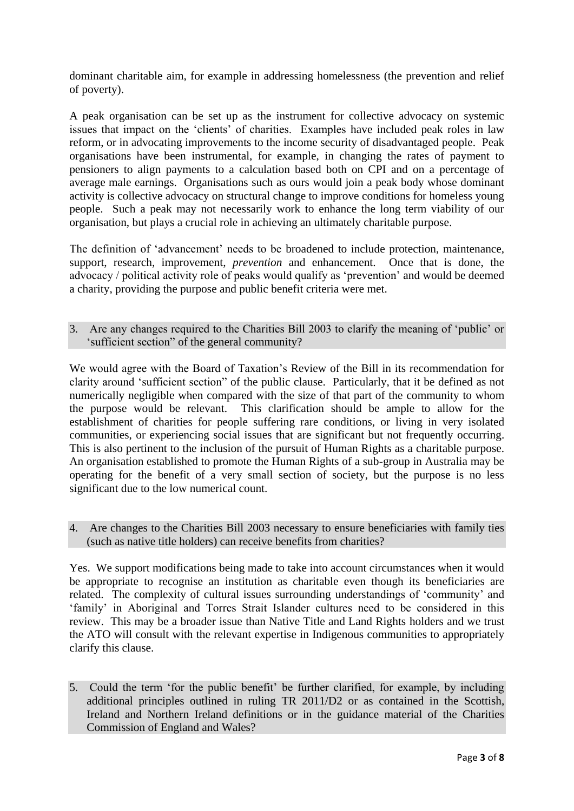dominant charitable aim, for example in addressing homelessness (the prevention and relief of poverty).

A peak organisation can be set up as the instrument for collective advocacy on systemic issues that impact on the 'clients' of charities. Examples have included peak roles in law reform, or in advocating improvements to the income security of disadvantaged people. Peak organisations have been instrumental, for example, in changing the rates of payment to pensioners to align payments to a calculation based both on CPI and on a percentage of average male earnings. Organisations such as ours would join a peak body whose dominant activity is collective advocacy on structural change to improve conditions for homeless young people. Such a peak may not necessarily work to enhance the long term viability of our organisation, but plays a crucial role in achieving an ultimately charitable purpose.

The definition of 'advancement' needs to be broadened to include protection, maintenance, support, research, improvement, *prevention* and enhancement. Once that is done, the advocacy / political activity role of peaks would qualify as 'prevention' and would be deemed a charity, providing the purpose and public benefit criteria were met.

3. Are any changes required to the Charities Bill 2003 to clarify the meaning of 'public' or 'sufficient section" of the general community?

We would agree with the Board of Taxation's Review of the Bill in its recommendation for clarity around 'sufficient section" of the public clause. Particularly, that it be defined as not numerically negligible when compared with the size of that part of the community to whom the purpose would be relevant. This clarification should be ample to allow for the establishment of charities for people suffering rare conditions, or living in very isolated communities, or experiencing social issues that are significant but not frequently occurring. This is also pertinent to the inclusion of the pursuit of Human Rights as a charitable purpose. An organisation established to promote the Human Rights of a sub-group in Australia may be operating for the benefit of a very small section of society, but the purpose is no less significant due to the low numerical count.

4. Are changes to the Charities Bill 2003 necessary to ensure beneficiaries with family ties (such as native title holders) can receive benefits from charities?

Yes. We support modifications being made to take into account circumstances when it would be appropriate to recognise an institution as charitable even though its beneficiaries are related. The complexity of cultural issues surrounding understandings of 'community' and 'family' in Aboriginal and Torres Strait Islander cultures need to be considered in this review. This may be a broader issue than Native Title and Land Rights holders and we trust the ATO will consult with the relevant expertise in Indigenous communities to appropriately clarify this clause.

5. Could the term 'for the public benefit' be further clarified, for example, by including additional principles outlined in ruling TR 2011/D2 or as contained in the Scottish, Ireland and Northern Ireland definitions or in the guidance material of the Charities Commission of England and Wales?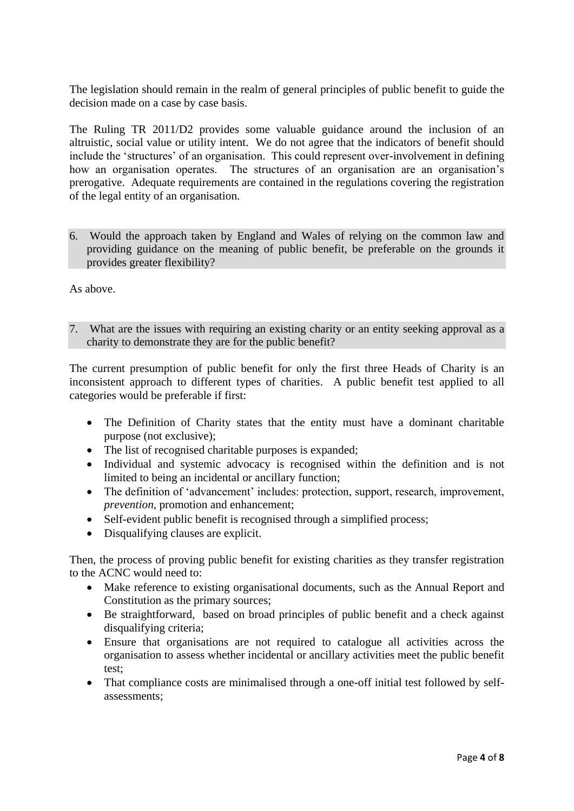The legislation should remain in the realm of general principles of public benefit to guide the decision made on a case by case basis.

The Ruling TR 2011/D2 provides some valuable guidance around the inclusion of an altruistic, social value or utility intent. We do not agree that the indicators of benefit should include the 'structures' of an organisation. This could represent over-involvement in defining how an organisation operates. The structures of an organisation are an organisation's prerogative. Adequate requirements are contained in the regulations covering the registration of the legal entity of an organisation.

6. Would the approach taken by England and Wales of relying on the common law and providing guidance on the meaning of public benefit, be preferable on the grounds it provides greater flexibility?

As above.

7. What are the issues with requiring an existing charity or an entity seeking approval as a charity to demonstrate they are for the public benefit?

The current presumption of public benefit for only the first three Heads of Charity is an inconsistent approach to different types of charities. A public benefit test applied to all categories would be preferable if first:

- The Definition of Charity states that the entity must have a dominant charitable purpose (not exclusive);
- The list of recognised charitable purposes is expanded;
- Individual and systemic advocacy is recognised within the definition and is not limited to being an incidental or ancillary function;
- The definition of 'advancement' includes: protection, support, research, improvement, *prevention*, promotion and enhancement;
- Self-evident public benefit is recognised through a simplified process;
- Disqualifying clauses are explicit.

Then, the process of proving public benefit for existing charities as they transfer registration to the ACNC would need to:

- Make reference to existing organisational documents, such as the Annual Report and Constitution as the primary sources;
- Be straightforward, based on broad principles of public benefit and a check against disqualifying criteria;
- Ensure that organisations are not required to catalogue all activities across the organisation to assess whether incidental or ancillary activities meet the public benefit test;
- That compliance costs are minimalised through a one-off initial test followed by selfassessments;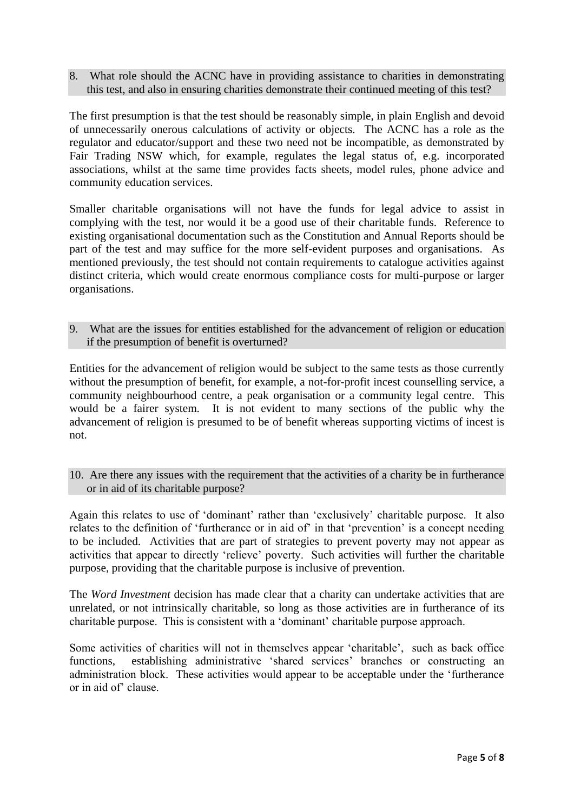8. What role should the ACNC have in providing assistance to charities in demonstrating this test, and also in ensuring charities demonstrate their continued meeting of this test?

The first presumption is that the test should be reasonably simple, in plain English and devoid of unnecessarily onerous calculations of activity or objects. The ACNC has a role as the regulator and educator/support and these two need not be incompatible, as demonstrated by Fair Trading NSW which, for example, regulates the legal status of, e.g. incorporated associations, whilst at the same time provides facts sheets, model rules, phone advice and community education services.

Smaller charitable organisations will not have the funds for legal advice to assist in complying with the test, nor would it be a good use of their charitable funds. Reference to existing organisational documentation such as the Constitution and Annual Reports should be part of the test and may suffice for the more self-evident purposes and organisations. As mentioned previously, the test should not contain requirements to catalogue activities against distinct criteria, which would create enormous compliance costs for multi-purpose or larger organisations.

9. What are the issues for entities established for the advancement of religion or education if the presumption of benefit is overturned?

Entities for the advancement of religion would be subject to the same tests as those currently without the presumption of benefit, for example, a not-for-profit incest counselling service, a community neighbourhood centre, a peak organisation or a community legal centre. This would be a fairer system. It is not evident to many sections of the public why the advancement of religion is presumed to be of benefit whereas supporting victims of incest is not.

10. Are there any issues with the requirement that the activities of a charity be in furtherance or in aid of its charitable purpose?

Again this relates to use of 'dominant' rather than 'exclusively' charitable purpose. It also relates to the definition of 'furtherance or in aid of' in that 'prevention' is a concept needing to be included. Activities that are part of strategies to prevent poverty may not appear as activities that appear to directly 'relieve' poverty. Such activities will further the charitable purpose, providing that the charitable purpose is inclusive of prevention.

The *Word Investment* decision has made clear that a charity can undertake activities that are unrelated, or not intrinsically charitable, so long as those activities are in furtherance of its charitable purpose. This is consistent with a 'dominant' charitable purpose approach.

Some activities of charities will not in themselves appear 'charitable', such as back office functions, establishing administrative 'shared services' branches or constructing an administration block. These activities would appear to be acceptable under the 'furtherance or in aid of' clause.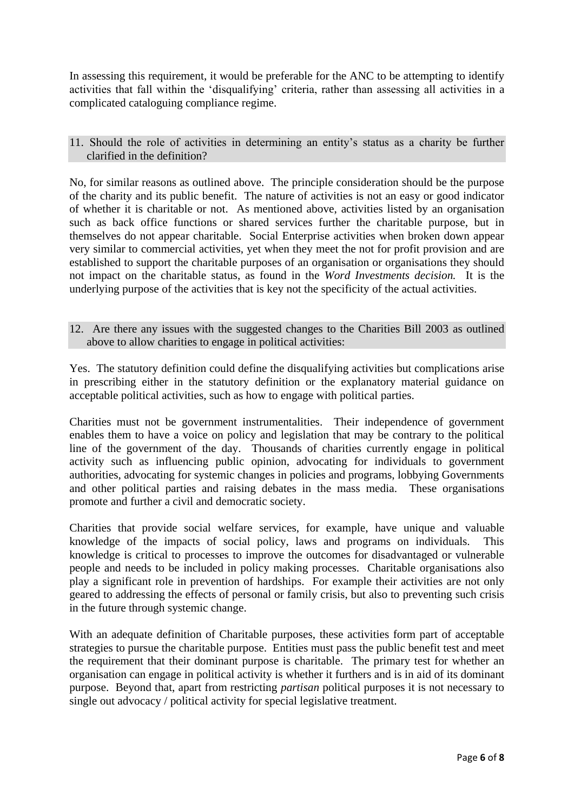In assessing this requirement, it would be preferable for the ANC to be attempting to identify activities that fall within the 'disqualifying' criteria, rather than assessing all activities in a complicated cataloguing compliance regime.

## 11. Should the role of activities in determining an entity's status as a charity be further clarified in the definition?

No, for similar reasons as outlined above. The principle consideration should be the purpose of the charity and its public benefit. The nature of activities is not an easy or good indicator of whether it is charitable or not. As mentioned above, activities listed by an organisation such as back office functions or shared services further the charitable purpose, but in themselves do not appear charitable. Social Enterprise activities when broken down appear very similar to commercial activities, yet when they meet the not for profit provision and are established to support the charitable purposes of an organisation or organisations they should not impact on the charitable status, as found in the *Word Investments decision.* It is the underlying purpose of the activities that is key not the specificity of the actual activities.

## 12. Are there any issues with the suggested changes to the Charities Bill 2003 as outlined above to allow charities to engage in political activities:

Yes. The statutory definition could define the disqualifying activities but complications arise in prescribing either in the statutory definition or the explanatory material guidance on acceptable political activities, such as how to engage with political parties.

Charities must not be government instrumentalities. Their independence of government enables them to have a voice on policy and legislation that may be contrary to the political line of the government of the day. Thousands of charities currently engage in political activity such as influencing public opinion, advocating for individuals to government authorities, advocating for systemic changes in policies and programs, lobbying Governments and other political parties and raising debates in the mass media. These organisations promote and further a civil and democratic society.

Charities that provide social welfare services, for example, have unique and valuable knowledge of the impacts of social policy, laws and programs on individuals. This knowledge is critical to processes to improve the outcomes for disadvantaged or vulnerable people and needs to be included in policy making processes. Charitable organisations also play a significant role in prevention of hardships. For example their activities are not only geared to addressing the effects of personal or family crisis, but also to preventing such crisis in the future through systemic change.

With an adequate definition of Charitable purposes, these activities form part of acceptable strategies to pursue the charitable purpose. Entities must pass the public benefit test and meet the requirement that their dominant purpose is charitable. The primary test for whether an organisation can engage in political activity is whether it furthers and is in aid of its dominant purpose. Beyond that, apart from restricting *partisan* political purposes it is not necessary to single out advocacy / political activity for special legislative treatment.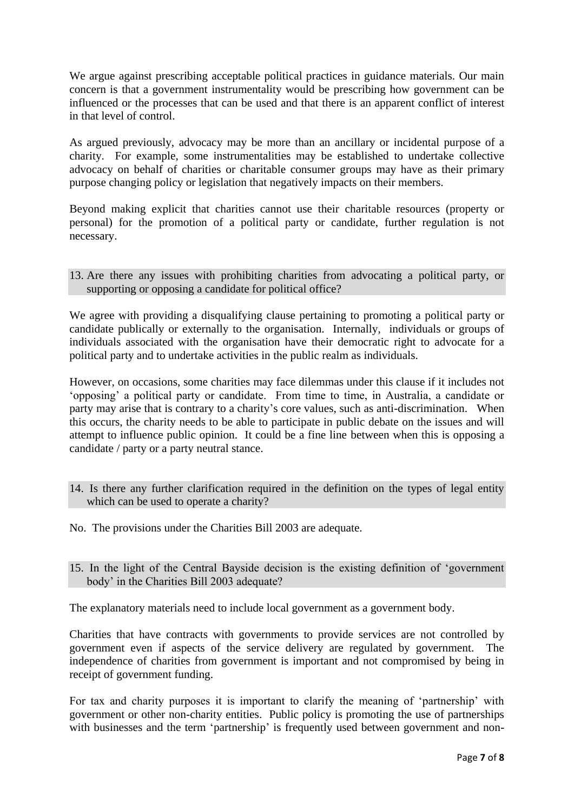We argue against prescribing acceptable political practices in guidance materials. Our main concern is that a government instrumentality would be prescribing how government can be influenced or the processes that can be used and that there is an apparent conflict of interest in that level of control.

As argued previously, advocacy may be more than an ancillary or incidental purpose of a charity. For example, some instrumentalities may be established to undertake collective advocacy on behalf of charities or charitable consumer groups may have as their primary purpose changing policy or legislation that negatively impacts on their members.

Beyond making explicit that charities cannot use their charitable resources (property or personal) for the promotion of a political party or candidate, further regulation is not necessary.

13. Are there any issues with prohibiting charities from advocating a political party, or supporting or opposing a candidate for political office?

We agree with providing a disqualifying clause pertaining to promoting a political party or candidate publically or externally to the organisation. Internally, individuals or groups of individuals associated with the organisation have their democratic right to advocate for a political party and to undertake activities in the public realm as individuals.

However, on occasions, some charities may face dilemmas under this clause if it includes not 'opposing' a political party or candidate. From time to time, in Australia, a candidate or party may arise that is contrary to a charity's core values, such as anti-discrimination. When this occurs, the charity needs to be able to participate in public debate on the issues and will attempt to influence public opinion. It could be a fine line between when this is opposing a candidate / party or a party neutral stance.

- 14. Is there any further clarification required in the definition on the types of legal entity which can be used to operate a charity?
- No. The provisions under the Charities Bill 2003 are adequate.
- 15. In the light of the Central Bayside decision is the existing definition of 'government body' in the Charities Bill 2003 adequate?

The explanatory materials need to include local government as a government body.

Charities that have contracts with governments to provide services are not controlled by government even if aspects of the service delivery are regulated by government. The independence of charities from government is important and not compromised by being in receipt of government funding.

For tax and charity purposes it is important to clarify the meaning of 'partnership' with government or other non-charity entities. Public policy is promoting the use of partnerships with businesses and the term 'partnership' is frequently used between government and non